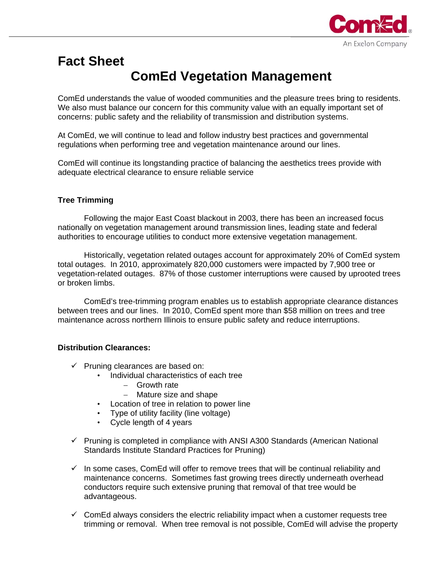

# **Fact Sheet ComEd Vegetation Management**

ComEd understands the value of wooded communities and the pleasure trees bring to residents. We also must balance our concern for this community value with an equally important set of concerns: public safety and the reliability of transmission and distribution systems.

At ComEd, we will continue to lead and follow industry best practices and governmental regulations when performing tree and vegetation maintenance around our lines.

ComEd will continue its longstanding practice of balancing the aesthetics trees provide with adequate electrical clearance to ensure reliable service

### **Tree Trimming**

 Following the major East Coast blackout in 2003, there has been an increased focus nationally on vegetation management around transmission lines, leading state and federal authorities to encourage utilities to conduct more extensive vegetation management.

Historically, vegetation related outages account for approximately 20% of ComEd system total outages. In 2010, approximately 820,000 customers were impacted by 7,900 tree or vegetation-related outages. 87% of those customer interruptions were caused by uprooted trees or broken limbs.

 ComEd's tree-trimming program enables us to establish appropriate clearance distances between trees and our lines. In 2010, ComEd spent more than \$58 million on trees and tree maintenance across northern Illinois to ensure public safety and reduce interruptions.

### **Distribution Clearances:**

- $\checkmark$  Pruning clearances are based on:
	- Individual characteristics of each tree
		- Growth rate
		- Mature size and shape
	- Location of tree in relation to power line
	- Type of utility facility (line voltage)
	- Cycle length of 4 years
- $\checkmark$  Pruning is completed in compliance with ANSI A300 Standards (American National Standards Institute Standard Practices for Pruning)
- $\checkmark$  In some cases, ComEd will offer to remove trees that will be continual reliability and maintenance concerns. Sometimes fast growing trees directly underneath overhead conductors require such extensive pruning that removal of that tree would be advantageous.
- $\checkmark$  ComEd always considers the electric reliability impact when a customer requests tree trimming or removal. When tree removal is not possible, ComEd will advise the property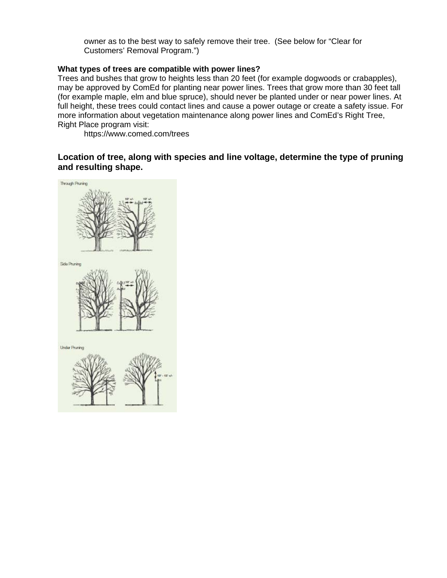owner as to the best way to safely remove their tree. (See below for "Clear for Customers' Removal Program.")

### **What types of trees are compatible with power lines?**

Trees and bushes that grow to heights less than 20 feet (for example dogwoods or crabapples), may be approved by ComEd for planting near power lines. Trees that grow more than 30 feet tall (for example maple, elm and blue spruce), should never be planted under or near power lines. At full height, these trees could contact lines and cause a power outage or create a safety issue. For more information about vegetation maintenance along power lines and ComEd's Right Tree, Right Place program visit:

https://www.comed.com/trees

**Location of tree, along with species and line voltage, determine the type of pruning and resulting shape.** 



**Under Pruning**